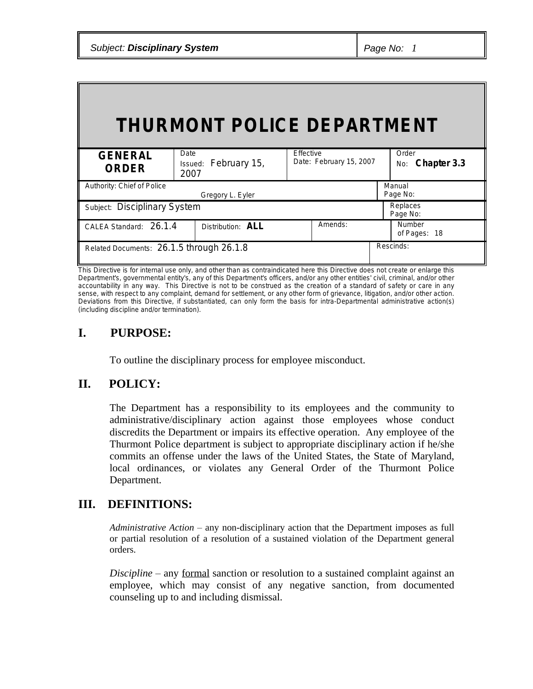|  | <b>Subject: Disciplinary System</b> |  |
|--|-------------------------------------|--|
|--|-------------------------------------|--|

| <b>THURMONT POLICE DEPARTMENT</b>        |                                      |                                      |                               |  |  |
|------------------------------------------|--------------------------------------|--------------------------------------|-------------------------------|--|--|
| <b>GENERAL</b><br><b>ORDER</b>           | Date<br>Issued: February 15,<br>2007 | Effective<br>Date: February 15, 2007 | Order<br>No: Chapter 3.3      |  |  |
| Authority: Chief of Police               | Gregory L. Eyler                     |                                      | Manual<br>Page No:            |  |  |
| Subject: Disciplinary System             |                                      |                                      | Replaces<br>Page No:          |  |  |
| CALEA Standard: 26.1.4                   | Distribution: ALL                    | Amends:                              | <b>Number</b><br>of Pages: 18 |  |  |
| Related Documents: 26.1.5 through 26.1.8 |                                      |                                      | Rescinds:                     |  |  |

This Directive is for internal use only, and other than as contraindicated here this Directive does not create or enlarge this Department's, governmental entity's, any of this Department's officers, and/or any other entities' civil, criminal, and/or other accountability in any way. This Directive is not to be construed as the creation of a standard of safety or care in any sense, with respect to any complaint, demand for settlement, or any other form of grievance, litigation, and/or other action. Deviations from this Directive, if substantiated, can only form the basis for intra-Departmental administrative action(s) (including discipline and/or termination).

# **I. PURPOSE:**

To outline the disciplinary process for employee misconduct.

# **II. POLICY:**

The Department has a responsibility to its employees and the community to administrative/disciplinary action against those employees whose conduct discredits the Department or impairs its effective operation. Any employee of the Thurmont Police department is subject to appropriate disciplinary action if he/she commits an offense under the laws of the United States, the State of Maryland, local ordinances, or violates any General Order of the Thurmont Police Department.

# **III. DEFINITIONS:**

*Administrative Action* – any non-disciplinary action that the Department imposes as full or partial resolution of a resolution of a sustained violation of the Department general orders.

*Discipline* – any formal sanction or resolution to a sustained complaint against an employee, which may consist of any negative sanction, from documented counseling up to and including dismissal.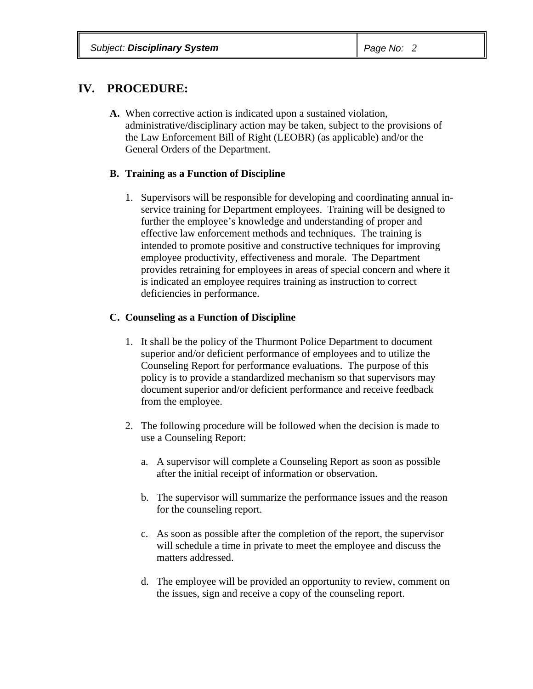# **IV. PROCEDURE:**

**A.** When corrective action is indicated upon a sustained violation, administrative/disciplinary action may be taken, subject to the provisions of the Law Enforcement Bill of Right (LEOBR) (as applicable) and/or the General Orders of the Department.

## **B. Training as a Function of Discipline**

1. Supervisors will be responsible for developing and coordinating annual inservice training for Department employees. Training will be designed to further the employee's knowledge and understanding of proper and effective law enforcement methods and techniques. The training is intended to promote positive and constructive techniques for improving employee productivity, effectiveness and morale. The Department provides retraining for employees in areas of special concern and where it is indicated an employee requires training as instruction to correct deficiencies in performance.

## **C. Counseling as a Function of Discipline**

- 1. It shall be the policy of the Thurmont Police Department to document superior and/or deficient performance of employees and to utilize the Counseling Report for performance evaluations. The purpose of this policy is to provide a standardized mechanism so that supervisors may document superior and/or deficient performance and receive feedback from the employee.
- 2. The following procedure will be followed when the decision is made to use a Counseling Report:
	- a. A supervisor will complete a Counseling Report as soon as possible after the initial receipt of information or observation.
	- b. The supervisor will summarize the performance issues and the reason for the counseling report.
	- c. As soon as possible after the completion of the report, the supervisor will schedule a time in private to meet the employee and discuss the matters addressed.
	- d. The employee will be provided an opportunity to review, comment on the issues, sign and receive a copy of the counseling report.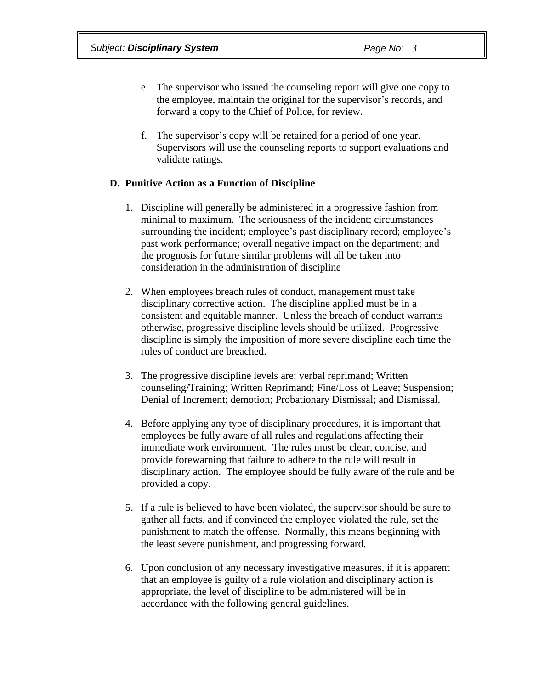- e. The supervisor who issued the counseling report will give one copy to the employee, maintain the original for the supervisor's records, and forward a copy to the Chief of Police, for review.
- f. The supervisor's copy will be retained for a period of one year. Supervisors will use the counseling reports to support evaluations and validate ratings.

## **D. Punitive Action as a Function of Discipline**

- 1. Discipline will generally be administered in a progressive fashion from minimal to maximum. The seriousness of the incident; circumstances surrounding the incident; employee's past disciplinary record; employee's past work performance; overall negative impact on the department; and the prognosis for future similar problems will all be taken into consideration in the administration of discipline
- 2. When employees breach rules of conduct, management must take disciplinary corrective action. The discipline applied must be in a consistent and equitable manner. Unless the breach of conduct warrants otherwise, progressive discipline levels should be utilized. Progressive discipline is simply the imposition of more severe discipline each time the rules of conduct are breached.
- 3. The progressive discipline levels are: verbal reprimand; Written counseling/Training; Written Reprimand; Fine/Loss of Leave; Suspension; Denial of Increment; demotion; Probationary Dismissal; and Dismissal.
- 4. Before applying any type of disciplinary procedures, it is important that employees be fully aware of all rules and regulations affecting their immediate work environment. The rules must be clear, concise, and provide forewarning that failure to adhere to the rule will result in disciplinary action. The employee should be fully aware of the rule and be provided a copy.
- 5. If a rule is believed to have been violated, the supervisor should be sure to gather all facts, and if convinced the employee violated the rule, set the punishment to match the offense. Normally, this means beginning with the least severe punishment, and progressing forward.
- 6. Upon conclusion of any necessary investigative measures, if it is apparent that an employee is guilty of a rule violation and disciplinary action is appropriate, the level of discipline to be administered will be in accordance with the following general guidelines.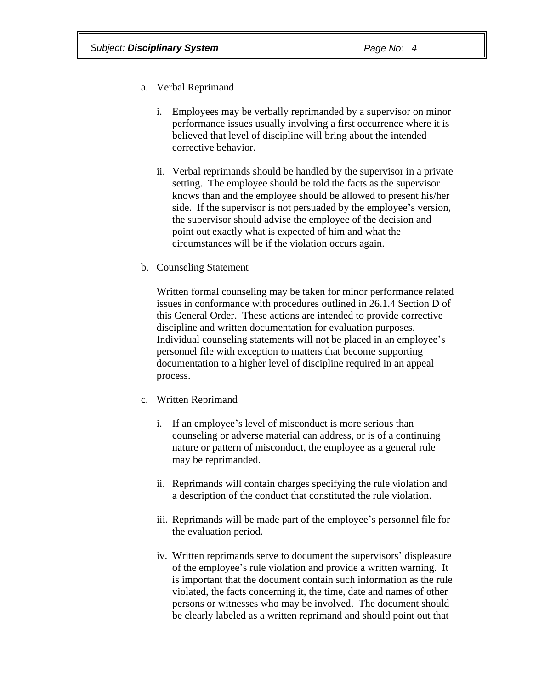- a. Verbal Reprimand
	- i. Employees may be verbally reprimanded by a supervisor on minor performance issues usually involving a first occurrence where it is believed that level of discipline will bring about the intended corrective behavior.
	- ii. Verbal reprimands should be handled by the supervisor in a private setting. The employee should be told the facts as the supervisor knows than and the employee should be allowed to present his/her side. If the supervisor is not persuaded by the employee's version, the supervisor should advise the employee of the decision and point out exactly what is expected of him and what the circumstances will be if the violation occurs again.
- b. Counseling Statement

Written formal counseling may be taken for minor performance related issues in conformance with procedures outlined in 26.1.4 Section D of this General Order. These actions are intended to provide corrective discipline and written documentation for evaluation purposes. Individual counseling statements will not be placed in an employee's personnel file with exception to matters that become supporting documentation to a higher level of discipline required in an appeal process.

- c. Written Reprimand
	- i. If an employee's level of misconduct is more serious than counseling or adverse material can address, or is of a continuing nature or pattern of misconduct, the employee as a general rule may be reprimanded.
	- ii. Reprimands will contain charges specifying the rule violation and a description of the conduct that constituted the rule violation.
	- iii. Reprimands will be made part of the employee's personnel file for the evaluation period.
	- iv. Written reprimands serve to document the supervisors' displeasure of the employee's rule violation and provide a written warning. It is important that the document contain such information as the rule violated, the facts concerning it, the time, date and names of other persons or witnesses who may be involved. The document should be clearly labeled as a written reprimand and should point out that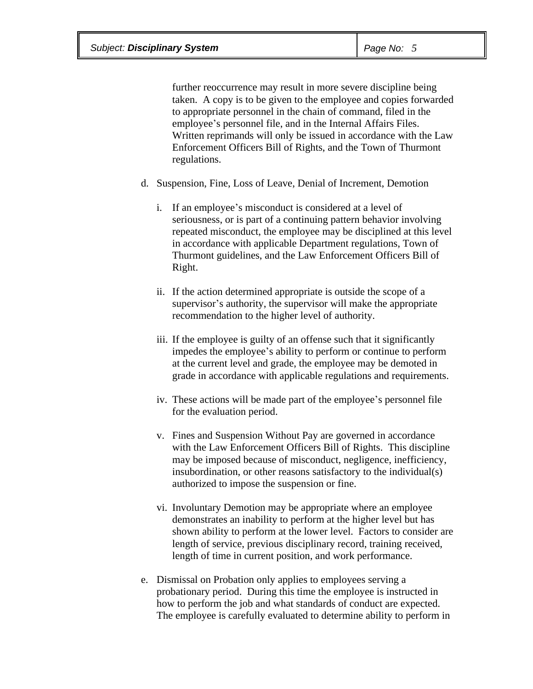further reoccurrence may result in more severe discipline being taken. A copy is to be given to the employee and copies forwarded to appropriate personnel in the chain of command, filed in the employee's personnel file, and in the Internal Affairs Files. Written reprimands will only be issued in accordance with the Law Enforcement Officers Bill of Rights, and the Town of Thurmont regulations.

- d. Suspension, Fine, Loss of Leave, Denial of Increment, Demotion
	- i. If an employee's misconduct is considered at a level of seriousness, or is part of a continuing pattern behavior involving repeated misconduct, the employee may be disciplined at this level in accordance with applicable Department regulations, Town of Thurmont guidelines, and the Law Enforcement Officers Bill of Right.
	- ii. If the action determined appropriate is outside the scope of a supervisor's authority, the supervisor will make the appropriate recommendation to the higher level of authority.
	- iii. If the employee is guilty of an offense such that it significantly impedes the employee's ability to perform or continue to perform at the current level and grade, the employee may be demoted in grade in accordance with applicable regulations and requirements.
	- iv. These actions will be made part of the employee's personnel file for the evaluation period.
	- v. Fines and Suspension Without Pay are governed in accordance with the Law Enforcement Officers Bill of Rights. This discipline may be imposed because of misconduct, negligence, inefficiency, insubordination, or other reasons satisfactory to the individual(s) authorized to impose the suspension or fine.
	- vi. Involuntary Demotion may be appropriate where an employee demonstrates an inability to perform at the higher level but has shown ability to perform at the lower level. Factors to consider are length of service, previous disciplinary record, training received, length of time in current position, and work performance.
- e. Dismissal on Probation only applies to employees serving a probationary period. During this time the employee is instructed in how to perform the job and what standards of conduct are expected. The employee is carefully evaluated to determine ability to perform in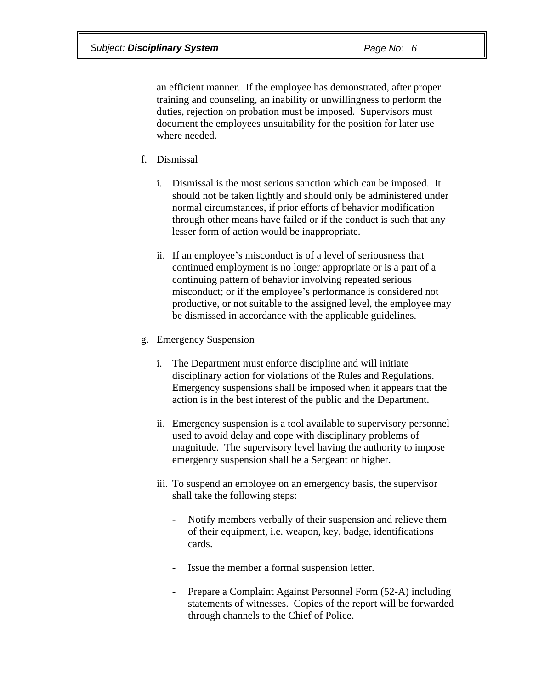an efficient manner. If the employee has demonstrated, after proper training and counseling, an inability or unwillingness to perform the duties, rejection on probation must be imposed. Supervisors must document the employees unsuitability for the position for later use where needed.

- f. Dismissal
	- i. Dismissal is the most serious sanction which can be imposed. It should not be taken lightly and should only be administered under normal circumstances, if prior efforts of behavior modification through other means have failed or if the conduct is such that any lesser form of action would be inappropriate.
	- ii. If an employee's misconduct is of a level of seriousness that continued employment is no longer appropriate or is a part of a continuing pattern of behavior involving repeated serious misconduct; or if the employee's performance is considered not productive, or not suitable to the assigned level, the employee may be dismissed in accordance with the applicable guidelines.
- g. Emergency Suspension
	- i. The Department must enforce discipline and will initiate disciplinary action for violations of the Rules and Regulations. Emergency suspensions shall be imposed when it appears that the action is in the best interest of the public and the Department.
	- ii. Emergency suspension is a tool available to supervisory personnel used to avoid delay and cope with disciplinary problems of magnitude. The supervisory level having the authority to impose emergency suspension shall be a Sergeant or higher.
	- iii. To suspend an employee on an emergency basis, the supervisor shall take the following steps:
		- Notify members verbally of their suspension and relieve them of their equipment, i.e. weapon, key, badge, identifications cards.
		- Issue the member a formal suspension letter.
		- Prepare a Complaint Against Personnel Form (52-A) including statements of witnesses. Copies of the report will be forwarded through channels to the Chief of Police.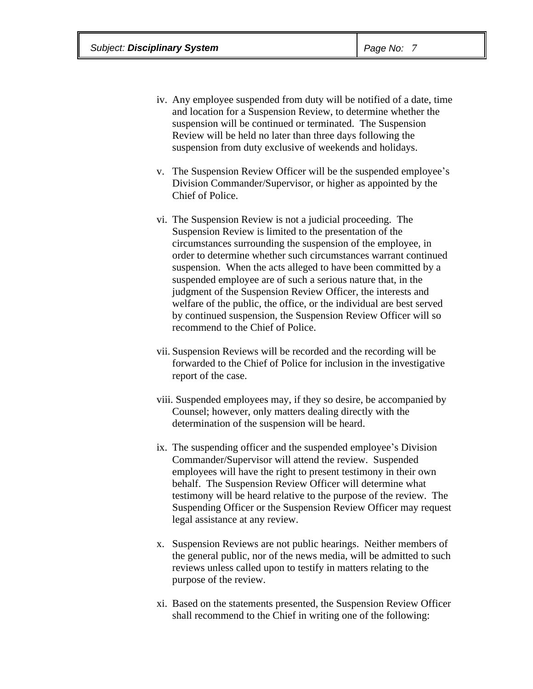- iv. Any employee suspended from duty will be notified of a date, time and location for a Suspension Review, to determine whether the suspension will be continued or terminated. The Suspension Review will be held no later than three days following the suspension from duty exclusive of weekends and holidays.
- v. The Suspension Review Officer will be the suspended employee's Division Commander/Supervisor, or higher as appointed by the Chief of Police.
- vi. The Suspension Review is not a judicial proceeding. The Suspension Review is limited to the presentation of the circumstances surrounding the suspension of the employee, in order to determine whether such circumstances warrant continued suspension. When the acts alleged to have been committed by a suspended employee are of such a serious nature that, in the judgment of the Suspension Review Officer, the interests and welfare of the public, the office, or the individual are best served by continued suspension, the Suspension Review Officer will so recommend to the Chief of Police.
- vii. Suspension Reviews will be recorded and the recording will be forwarded to the Chief of Police for inclusion in the investigative report of the case.
- viii. Suspended employees may, if they so desire, be accompanied by Counsel; however, only matters dealing directly with the determination of the suspension will be heard.
- ix. The suspending officer and the suspended employee's Division Commander/Supervisor will attend the review. Suspended employees will have the right to present testimony in their own behalf. The Suspension Review Officer will determine what testimony will be heard relative to the purpose of the review. The Suspending Officer or the Suspension Review Officer may request legal assistance at any review.
- x. Suspension Reviews are not public hearings. Neither members of the general public, nor of the news media, will be admitted to such reviews unless called upon to testify in matters relating to the purpose of the review.
- xi. Based on the statements presented, the Suspension Review Officer shall recommend to the Chief in writing one of the following: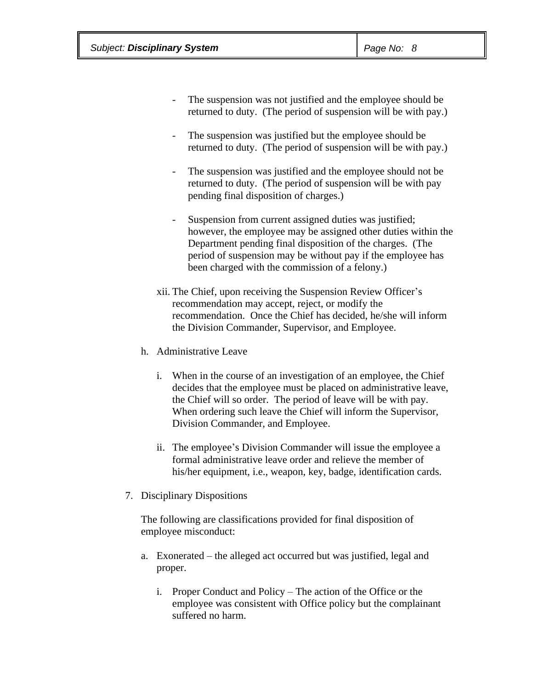- The suspension was not justified and the employee should be returned to duty. (The period of suspension will be with pay.)
- The suspension was justified but the employee should be returned to duty. (The period of suspension will be with pay.)
- The suspension was justified and the employee should not be returned to duty. (The period of suspension will be with pay pending final disposition of charges.)
- Suspension from current assigned duties was justified; however, the employee may be assigned other duties within the Department pending final disposition of the charges. (The period of suspension may be without pay if the employee has been charged with the commission of a felony.)
- xii. The Chief, upon receiving the Suspension Review Officer's recommendation may accept, reject, or modify the recommendation. Once the Chief has decided, he/she will inform the Division Commander, Supervisor, and Employee.
- h. Administrative Leave
	- i. When in the course of an investigation of an employee, the Chief decides that the employee must be placed on administrative leave, the Chief will so order. The period of leave will be with pay. When ordering such leave the Chief will inform the Supervisor, Division Commander, and Employee.
	- ii. The employee's Division Commander will issue the employee a formal administrative leave order and relieve the member of his/her equipment, i.e., weapon, key, badge, identification cards.
- 7. Disciplinary Dispositions

The following are classifications provided for final disposition of employee misconduct:

- a. Exonerated the alleged act occurred but was justified, legal and proper.
	- i. Proper Conduct and Policy The action of the Office or the employee was consistent with Office policy but the complainant suffered no harm.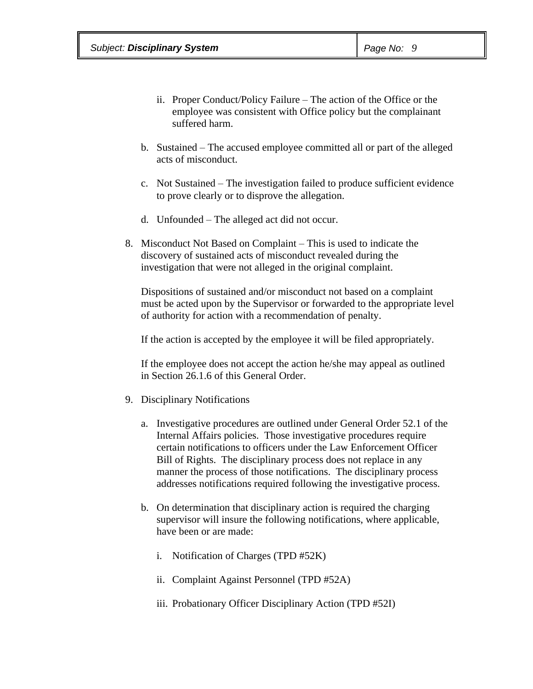- ii. Proper Conduct/Policy Failure The action of the Office or the employee was consistent with Office policy but the complainant suffered harm.
- b. Sustained The accused employee committed all or part of the alleged acts of misconduct.
- c. Not Sustained The investigation failed to produce sufficient evidence to prove clearly or to disprove the allegation.
- d. Unfounded The alleged act did not occur.
- 8. Misconduct Not Based on Complaint This is used to indicate the discovery of sustained acts of misconduct revealed during the investigation that were not alleged in the original complaint.

Dispositions of sustained and/or misconduct not based on a complaint must be acted upon by the Supervisor or forwarded to the appropriate level of authority for action with a recommendation of penalty.

If the action is accepted by the employee it will be filed appropriately.

If the employee does not accept the action he/she may appeal as outlined in Section 26.1.6 of this General Order.

- 9. Disciplinary Notifications
	- a. Investigative procedures are outlined under General Order 52.1 of the Internal Affairs policies. Those investigative procedures require certain notifications to officers under the Law Enforcement Officer Bill of Rights. The disciplinary process does not replace in any manner the process of those notifications. The disciplinary process addresses notifications required following the investigative process.
	- b. On determination that disciplinary action is required the charging supervisor will insure the following notifications, where applicable, have been or are made:
		- i. Notification of Charges (TPD #52K)
		- ii. Complaint Against Personnel (TPD #52A)
		- iii. Probationary Officer Disciplinary Action (TPD #52I)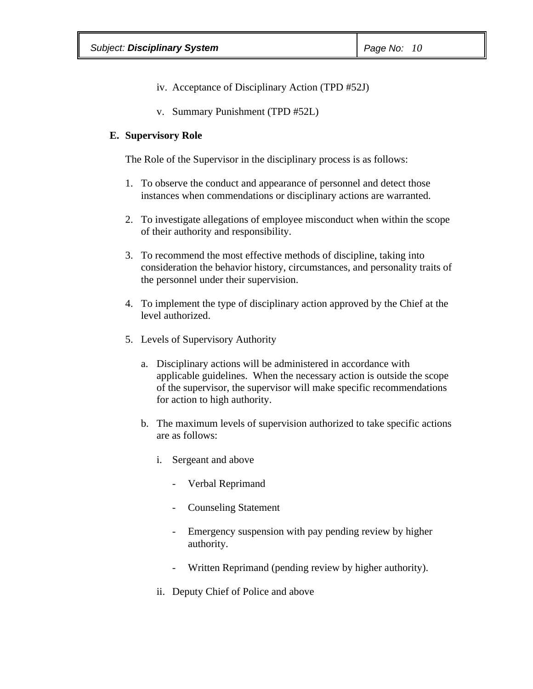- iv. Acceptance of Disciplinary Action (TPD #52J)
- v. Summary Punishment (TPD #52L)

#### **E. Supervisory Role**

The Role of the Supervisor in the disciplinary process is as follows:

- 1. To observe the conduct and appearance of personnel and detect those instances when commendations or disciplinary actions are warranted.
- 2. To investigate allegations of employee misconduct when within the scope of their authority and responsibility.
- 3. To recommend the most effective methods of discipline, taking into consideration the behavior history, circumstances, and personality traits of the personnel under their supervision.
- 4. To implement the type of disciplinary action approved by the Chief at the level authorized.
- 5. Levels of Supervisory Authority
	- a. Disciplinary actions will be administered in accordance with applicable guidelines. When the necessary action is outside the scope of the supervisor, the supervisor will make specific recommendations for action to high authority.
	- b. The maximum levels of supervision authorized to take specific actions are as follows:
		- i. Sergeant and above
			- Verbal Reprimand
			- Counseling Statement
			- Emergency suspension with pay pending review by higher authority.
			- Written Reprimand (pending review by higher authority).
		- ii. Deputy Chief of Police and above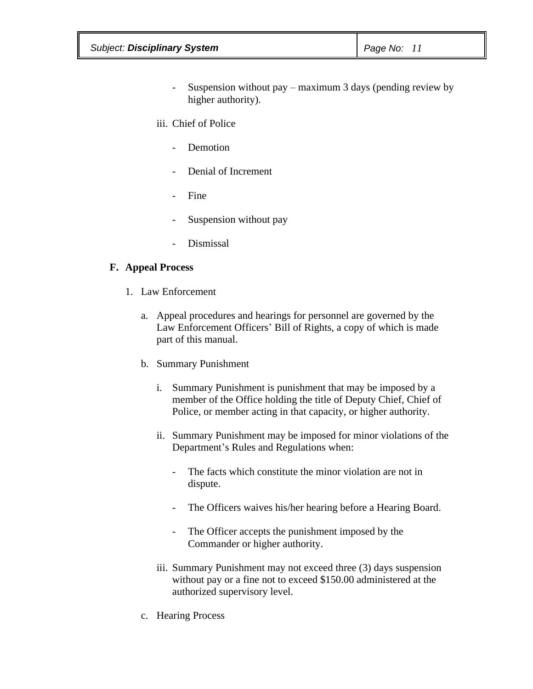| <b>Subject: Disciplinary System</b> | $\vert$ Page No: 11 |
|-------------------------------------|---------------------|
|-------------------------------------|---------------------|

- Suspension without pay maximum 3 days (pending review by higher authority).
- iii. Chief of Police
	- Demotion
	- Denial of Increment
	- Fine
	- Suspension without pay
	- Dismissal

## **F. Appeal Process**

- 1. Law Enforcement
	- a. Appeal procedures and hearings for personnel are governed by the Law Enforcement Officers' Bill of Rights, a copy of which is made part of this manual.
	- b. Summary Punishment
		- i. Summary Punishment is punishment that may be imposed by a member of the Office holding the title of Deputy Chief, Chief of Police, or member acting in that capacity, or higher authority.
		- ii. Summary Punishment may be imposed for minor violations of the Department's Rules and Regulations when:
			- The facts which constitute the minor violation are not in dispute.
			- The Officers waives his/her hearing before a Hearing Board.
			- The Officer accepts the punishment imposed by the Commander or higher authority.
		- iii. Summary Punishment may not exceed three (3) days suspension without pay or a fine not to exceed \$150.00 administered at the authorized supervisory level.
	- c. Hearing Process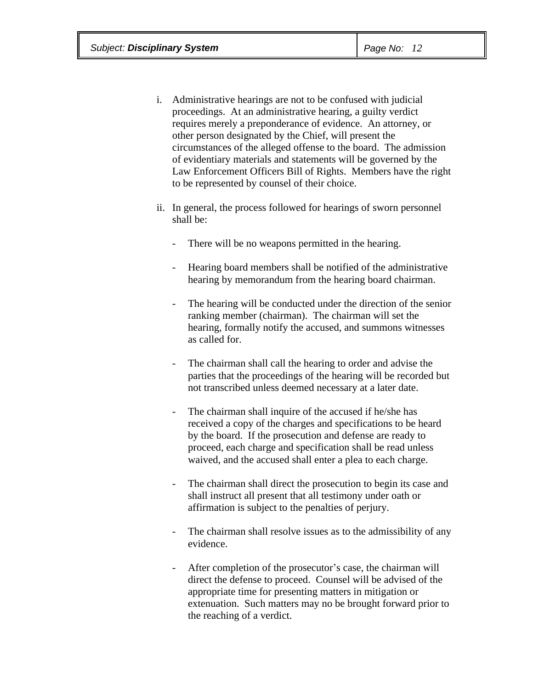- i. Administrative hearings are not to be confused with judicial proceedings. At an administrative hearing, a guilty verdict requires merely a preponderance of evidence. An attorney, or other person designated by the Chief, will present the circumstances of the alleged offense to the board. The admission of evidentiary materials and statements will be governed by the Law Enforcement Officers Bill of Rights. Members have the right to be represented by counsel of their choice.
- ii. In general, the process followed for hearings of sworn personnel shall be:
	- There will be no weapons permitted in the hearing.
	- Hearing board members shall be notified of the administrative hearing by memorandum from the hearing board chairman.
	- The hearing will be conducted under the direction of the senior ranking member (chairman). The chairman will set the hearing, formally notify the accused, and summons witnesses as called for.
	- The chairman shall call the hearing to order and advise the parties that the proceedings of the hearing will be recorded but not transcribed unless deemed necessary at a later date.
	- The chairman shall inquire of the accused if he/she has received a copy of the charges and specifications to be heard by the board. If the prosecution and defense are ready to proceed, each charge and specification shall be read unless waived, and the accused shall enter a plea to each charge.
	- The chairman shall direct the prosecution to begin its case and shall instruct all present that all testimony under oath or affirmation is subject to the penalties of perjury.
	- The chairman shall resolve issues as to the admissibility of any evidence.
	- After completion of the prosecutor's case, the chairman will direct the defense to proceed. Counsel will be advised of the appropriate time for presenting matters in mitigation or extenuation. Such matters may no be brought forward prior to the reaching of a verdict.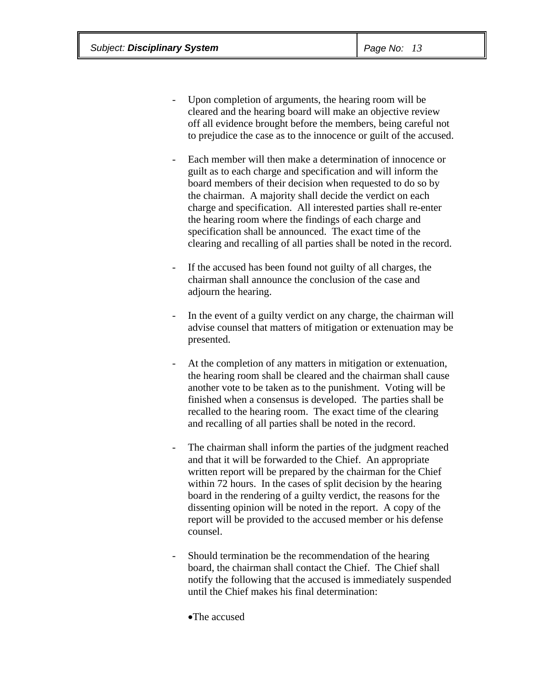- Upon completion of arguments, the hearing room will be cleared and the hearing board will make an objective review off all evidence brought before the members, being careful not to prejudice the case as to the innocence or guilt of the accused.
- Each member will then make a determination of innocence or guilt as to each charge and specification and will inform the board members of their decision when requested to do so by the chairman. A majority shall decide the verdict on each charge and specification. All interested parties shall re-enter the hearing room where the findings of each charge and specification shall be announced. The exact time of the clearing and recalling of all parties shall be noted in the record.
- If the accused has been found not guilty of all charges, the chairman shall announce the conclusion of the case and adjourn the hearing.
- In the event of a guilty verdict on any charge, the chairman will advise counsel that matters of mitigation or extenuation may be presented.
- At the completion of any matters in mitigation or extenuation, the hearing room shall be cleared and the chairman shall cause another vote to be taken as to the punishment. Voting will be finished when a consensus is developed. The parties shall be recalled to the hearing room. The exact time of the clearing and recalling of all parties shall be noted in the record.
- The chairman shall inform the parties of the judgment reached and that it will be forwarded to the Chief. An appropriate written report will be prepared by the chairman for the Chief within 72 hours. In the cases of split decision by the hearing board in the rendering of a guilty verdict, the reasons for the dissenting opinion will be noted in the report. A copy of the report will be provided to the accused member or his defense counsel.
- Should termination be the recommendation of the hearing board, the chairman shall contact the Chief. The Chief shall notify the following that the accused is immediately suspended until the Chief makes his final determination:

·The accused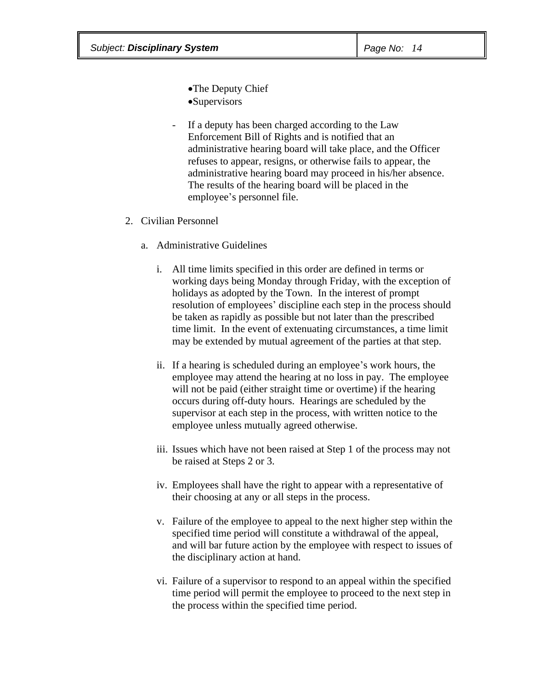•The Deputy Chief ·Supervisors

- If a deputy has been charged according to the Law Enforcement Bill of Rights and is notified that an administrative hearing board will take place, and the Officer refuses to appear, resigns, or otherwise fails to appear, the administrative hearing board may proceed in his/her absence. The results of the hearing board will be placed in the employee's personnel file.
- 2. Civilian Personnel
	- a. Administrative Guidelines
		- i. All time limits specified in this order are defined in terms or working days being Monday through Friday, with the exception of holidays as adopted by the Town. In the interest of prompt resolution of employees' discipline each step in the process should be taken as rapidly as possible but not later than the prescribed time limit. In the event of extenuating circumstances, a time limit may be extended by mutual agreement of the parties at that step.
		- ii. If a hearing is scheduled during an employee's work hours, the employee may attend the hearing at no loss in pay. The employee will not be paid (either straight time or overtime) if the hearing occurs during off-duty hours. Hearings are scheduled by the supervisor at each step in the process, with written notice to the employee unless mutually agreed otherwise.
		- iii. Issues which have not been raised at Step 1 of the process may not be raised at Steps 2 or 3.
		- iv. Employees shall have the right to appear with a representative of their choosing at any or all steps in the process.
		- v. Failure of the employee to appeal to the next higher step within the specified time period will constitute a withdrawal of the appeal, and will bar future action by the employee with respect to issues of the disciplinary action at hand.
		- vi. Failure of a supervisor to respond to an appeal within the specified time period will permit the employee to proceed to the next step in the process within the specified time period.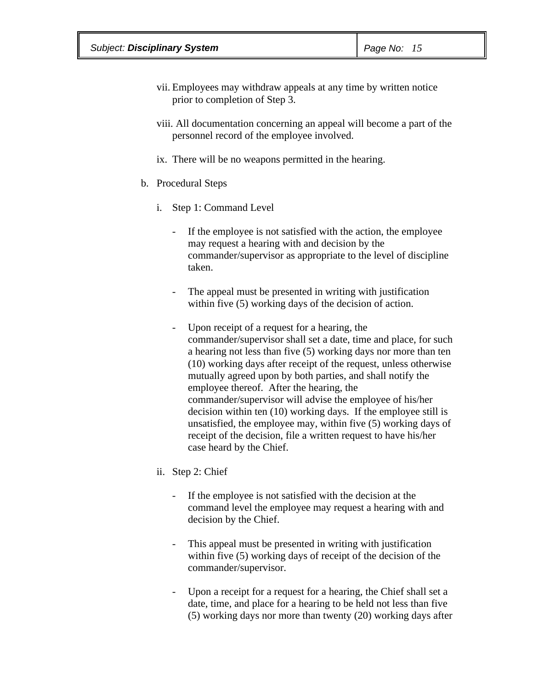- vii. Employees may withdraw appeals at any time by written notice prior to completion of Step 3.
- viii. All documentation concerning an appeal will become a part of the personnel record of the employee involved.
- ix. There will be no weapons permitted in the hearing.
- b. Procedural Steps
	- i. Step 1: Command Level
		- If the employee is not satisfied with the action, the employee may request a hearing with and decision by the commander/supervisor as appropriate to the level of discipline taken.
		- The appeal must be presented in writing with justification within five (5) working days of the decision of action.
		- Upon receipt of a request for a hearing, the commander/supervisor shall set a date, time and place, for such a hearing not less than five (5) working days nor more than ten (10) working days after receipt of the request, unless otherwise mutually agreed upon by both parties, and shall notify the employee thereof. After the hearing, the commander/supervisor will advise the employee of his/her decision within ten (10) working days. If the employee still is unsatisfied, the employee may, within five (5) working days of receipt of the decision, file a written request to have his/her case heard by the Chief.
	- ii. Step 2: Chief
		- If the employee is not satisfied with the decision at the command level the employee may request a hearing with and decision by the Chief.
		- This appeal must be presented in writing with justification within five (5) working days of receipt of the decision of the commander/supervisor.
		- Upon a receipt for a request for a hearing, the Chief shall set a date, time, and place for a hearing to be held not less than five (5) working days nor more than twenty (20) working days after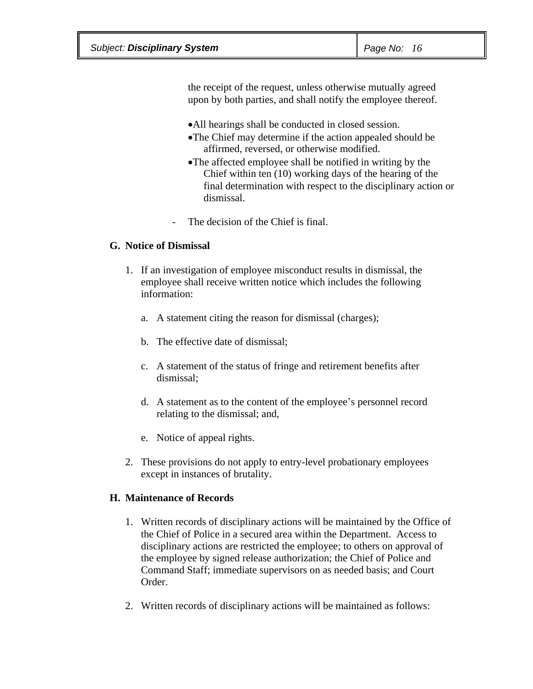the receipt of the request, unless otherwise mutually agreed upon by both parties, and shall notify the employee thereof.

- ·All hearings shall be conducted in closed session.
- ·The Chief may determine if the action appealed should be affirmed, reversed, or otherwise modified.
- ·The affected employee shall be notified in writing by the Chief within ten (10) working days of the hearing of the final determination with respect to the disciplinary action or dismissal.
- The decision of the Chief is final.

## **G. Notice of Dismissal**

- 1. If an investigation of employee misconduct results in dismissal, the employee shall receive written notice which includes the following information:
	- a. A statement citing the reason for dismissal (charges);
	- b. The effective date of dismissal;
	- c. A statement of the status of fringe and retirement benefits after dismissal;
	- d. A statement as to the content of the employee's personnel record relating to the dismissal; and,
	- e. Notice of appeal rights.
- 2. These provisions do not apply to entry-level probationary employees except in instances of brutality.

## **H. Maintenance of Records**

- 1. Written records of disciplinary actions will be maintained by the Office of the Chief of Police in a secured area within the Department. Access to disciplinary actions are restricted the employee; to others on approval of the employee by signed release authorization; the Chief of Police and Command Staff; immediate supervisors on as needed basis; and Court Order.
- 2. Written records of disciplinary actions will be maintained as follows: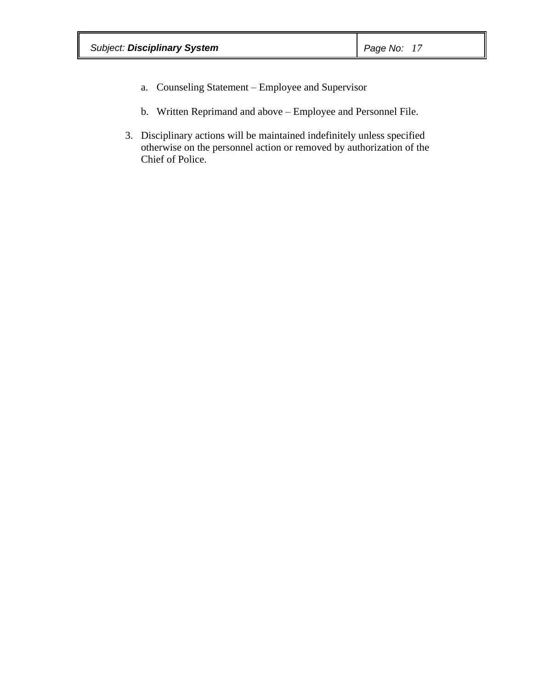- a. Counseling Statement Employee and Supervisor
- b. Written Reprimand and above Employee and Personnel File.
- 3. Disciplinary actions will be maintained indefinitely unless specified otherwise on the personnel action or removed by authorization of the Chief of Police.